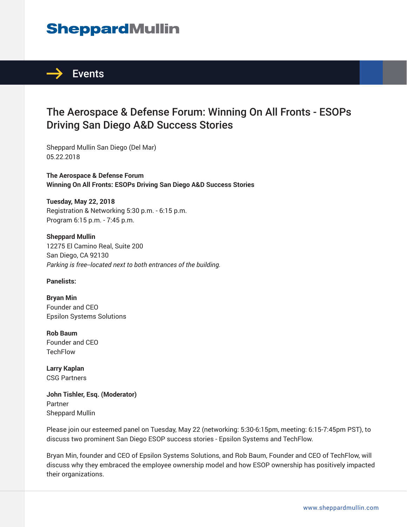# **SheppardMullin**



### The Aerospace & Defense Forum: Winning On All Fronts - ESOPs Driving San Diego A&D Success Stories

Sheppard Mullin San Diego (Del Mar) 05.22.2018

**The Aerospace & Defense Forum Winning On All Fronts: ESOPs Driving San Diego A&D Success Stories**

**Tuesday, May 22, 2018** Registration & Networking 5:30 p.m. - 6:15 p.m. Program 6:15 p.m. - 7:45 p.m.

**Sheppard Mullin** 12275 El Camino Real, Suite 200 San Diego, CA 92130 *Parking is free--located next to both entrances of the building.*

**Panelists:**

**Bryan Min** Founder and CEO Epsilon Systems Solutions

**Rob Baum** Founder and CEO **TechFlow** 

**Larry Kaplan** CSG Partners

**John Tishler, Esq. (Moderator)** Partner Sheppard Mullin

Please join our esteemed panel on Tuesday, May 22 (networking: 5:30-6:15pm, meeting: 6:15-7:45pm PST), to discuss two prominent San Diego ESOP success stories - Epsilon Systems and TechFlow.

Bryan Min, founder and CEO of Epsilon Systems Solutions, and Rob Baum, Founder and CEO of TechFlow, will discuss why they embraced the employee ownership model and how ESOP ownership has positively impacted their organizations.